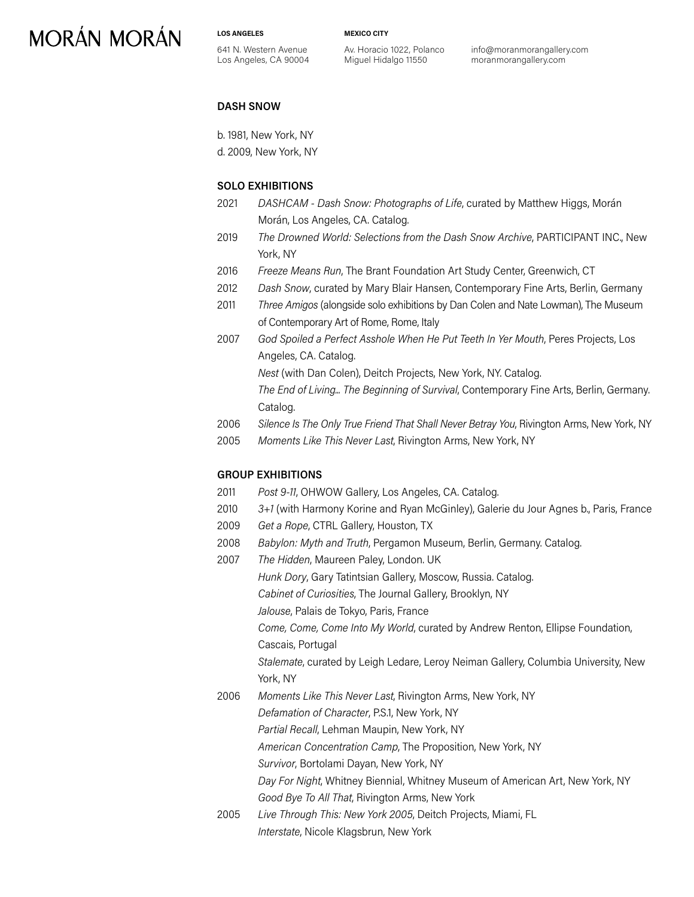# **MORÁN MORÁN**

**LOS ANGELES**

**MEXICO CITY**

641 N. Western Avenue Los Angeles, CA 90004 Av. Horacio 1022, Polanco Miguel Hidalgo 11550

info@moranmorangallery.com moranmorangallery.com

#### **DASH SNOW**

b. 1981, New York, NY

d. 2009, New York, NY

### **SOLO EXHIBITIONS**

- 2021 *DASHCAM Dash Snow: Photographs of Life*, curated by Matthew Higgs, Morán Morán, Los Angeles, CA. Catalog.
- 2019 *The Drowned World: Selections from the Dash Snow Archive*, PARTICIPANT INC., New York, NY
- 2016 *Freeze Means Run*, The Brant Foundation Art Study Center, Greenwich, CT
- 2012 *Dash Snow*, curated by Mary Blair Hansen, Contemporary Fine Arts, Berlin, Germany
- 2011 *Three Amigos* (alongside solo exhibitions by Dan Colen and Nate Lowman), The Museum of Contemporary Art of Rome, Rome, Italy
- 2007 *God Spoiled a Perfect Asshole When He Put Teeth In Yer Mouth*, Peres Projects, Los Angeles, CA. Catalog. *Nest* (with Dan Colen), Deitch Projects, New York, NY. Catalog.

*The End of Living... The Beginning of Survival*, Contemporary Fine Arts, Berlin, Germany. Catalog.

- 2006 *Silence Is The Only True Friend That Shall Never Betray You*, Rivington Arms, New York, NY
- 2005 *Moments Like This Never Last*, Rivington Arms, New York, NY

#### **GROUP EXHIBITIONS**

- 2011 *Post 9-11*, OHWOW Gallery, Los Angeles, CA. Catalog.
- 2010 *3+1* (with Harmony Korine and Ryan McGinley), Galerie du Jour Agnes b., Paris, France
- 2009 *Get a Rope*, CTRL Gallery, Houston, TX
- 2008 *Babylon: Myth and Truth*, Pergamon Museum, Berlin, Germany. Catalog.
- 2007 *The Hidden*, Maureen Paley, London. UK *Hunk Dory*, Gary Tatintsian Gallery, Moscow, Russia. Catalog. *Cabinet of Curiosities*, The Journal Gallery, Brooklyn, NY *Jalouse*, Palais de Tokyo, Paris, France *Come, Come, Come Into My World*, curated by Andrew Renton, Ellipse Foundation, Cascais, Portugal *Stalemate*, curated by Leigh Ledare, Leroy Neiman Gallery, Columbia University, New York, NY 2006 *Moments Like This Never Last*, Rivington Arms, New York, NY *Defamation of Character*, P.S.1, New York, NY *Partial Recall*, Lehman Maupin, New York, NY *American Concentration Camp*, The Proposition, New York, NY *Survivor*, Bortolami Dayan, New York, NY *Day For Night*, Whitney Biennial, Whitney Museum of American Art, New York, NY *Good Bye To All That*, Rivington Arms, New York
- 2005 *Live Through This: New York 2005*, Deitch Projects, Miami, FL *Interstate*, Nicole Klagsbrun, New York